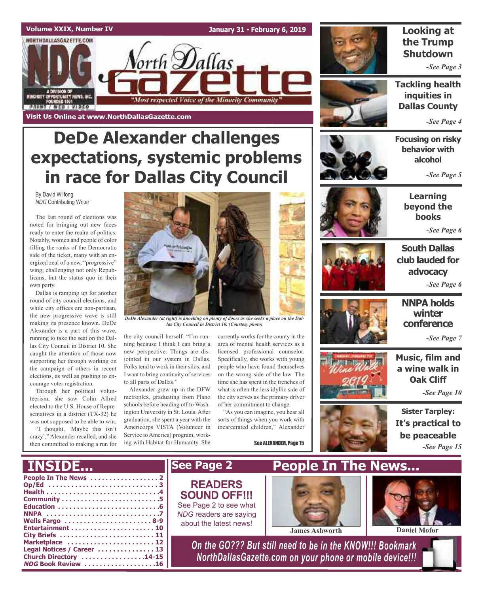

# **DeDe Alexander challenges expectations, systemic problems in race for Dallas City Council**

By David Wilfong *NDG* Contributing Writer

The last round of elections was noted for bringing out new faces ready to enter the realm of politics. Notably, women and people of color filling the ranks of the Democratic side of the ticket, many with an energized zeal of a new, "progressive" wing; challenging not only Republicans, but the status quo in their own party.

Dallas is ramping up for another round of city council elections, and while city offices are non-partisan, the new progressive wave is still making its presence known. DeDe Alexander is a part of this wave, running to take the seat on the Dallas City Council in District 10. She caught the attention of those now supporting her through working on the campaign of others in recent elections, as well as pushing to encourage voter registration.

Through her political volunteerism, she saw Colin Allred elected to the U.S. House of Representatives in a district (TX-32) he was not supposed to be able to win.

"I thought, 'Maybe this isn't crazy'," Alexander recalled, and she then committed to making a run for



*DeDe Alexander (at right) is knocking on plenty of doors as she seeks a place on the Dallas City Council in District 10. (Courtesy photo)*

the city council herself. "I'm running because I think I can bring a new perspective. Things are disjointed in our system in Dallas. Folks tend to work in their silos, and I want to bring continuity of services to all parts of Dallas."

Alexander grew up in the DFW metroplex, graduating from Plano schools before heading off to Washington University in St. Louis. After graduation, she spent a year with the Americorps VISTA (Volunteer in Service to America) program, working with Habitat for Humanity. She

currently works for the county in the area of mental health services as a licensed professional counselor. Specifically, she works with young people who have found themselves on the wrong side of the law. The time she has spent in the trenches of what is often the less idyllic side of the city serves as the primary driver of her commitment to change.

"As you can imagine, you hear all sorts of things when you work with incarcerated children," Alexander

See ALEXANDER, Page 15



### **Looking at the Trump Shutdown**

*-See Page 3*

**Tackling health inquities in Dallas County**

*-See Page 4*

**Focusing on risky behavior with alcohol**

*-See Page 5*



**Learning beyond the books**

*-See Page 6*



**South Dallas club lauded for advocacy** *-See Page 6*







*-See Page 7*

**Music, film and a wine walk in Oak Cliff**

*-See Page 10*



**Sister Tarpley: It's practical to be peaceable** *-See Page 15*

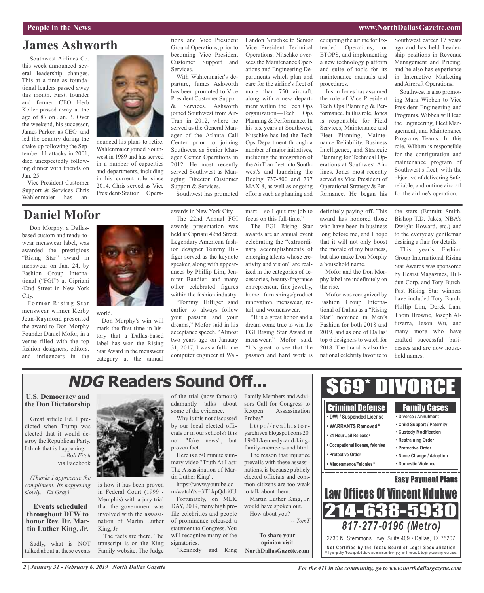### **People in the News www.NorthDallasGazette.com**

## **James Ashworth**

Southwest Airlines Co. this week announced several leadership changes. This at a time as foundational leaders passed away this month. First, founder and former CEO Herb Keller passed away at the age of 87 on Jan. 3. Over the weekend, his successor, James Parker, as CEO and led the country during the shake-up following the September 11 attacks in 2001, died unexpectedly following dinner with friends on Jan. 25.

Vice President Customer Support & Services Chris Wahlenmaier has an-

## **Daniel Mofor**

Don Morphy, a Dallasbased custom and ready-towear menswear label, was awarded the prestigious "Rising Star" award in menswear on Jan. 24, by Fashion Group International ("FGI") at Cipriani 42nd Street in New York City.

Former Rising Star menswear winner Kerby Jean-Raymond presented the award to Don Morphy Founder Daniel Mofor, in a venue filled with the top fashion designers, editors, and influencers in the



nounced his plans to retire. Wahlenmaier joined Southwest in 1989 and has served in a number of capacities and departments, including

world.

Don Morphy's win will mark the first time in history that a Dallas-based label has won the Rising Star Award in the menswear category at the annual tions and Vice President Ground Operations, prior to becoming Vice President Customer Support and Services.

With Wahlenmaier's departure, James Ashworth has been promoted to Vice President Customer Support & Services. Ashworth joined Southwest from Air-Tran in 2012, where he served as the General Manager of the Atlanta Call Center prior to joining Southwest as Senior Manager Center Operations in 2012. He most recently served Southwest as Managing Director Customer Support & Services.

Southwest has promoted

awards in New York City.

The 22nd Annual FGI awards presentation was held at Cipriani 42nd Street. Legendary American fashion designer Tommy Hilfiger served as the keynote speaker, along with appearances by Phillip Lim, Jennifer Bandier, and many other celebrated figures within the fashion industry. "Tommy Hilfiger said

earlier to always follow your passion and your dreams," Mofor said in his acceptance speech. "Almost two years ago on January 31, 2017, I was a full-time computer engineer at Wal-

Vice President Technical Operations. Nitschke oversees the Maintenance Operations and Engineering Departments which plan and care for the airline's fleet of more than 750 aircraft, along with a new department within the Tech Ops organization—Tech Ops Planning & Performance. In his six years at Southwest, Nitschke has led the Tech Ops Department through a number of major initiatives, including the integration of the AirTran fleet into Southwest's and launching the Boeing 737-800 and 737 MAX 8, as well as ongoing efforts such as planning and

Landon Nitschke to Senior

mart – so I quit my job to focus on this full-time."

The FGI Rising Star awards are an annual event celebrating the "extraordinary accomplishments of emerging talents whose creativity and vision" are realized in the categories of accessories, beauty/fragrance entrepreneur, fine jewelry, home furnishings/product innovation, menswear, retail, and womenswear.

"It is a great honor and a dream come true to win the FGI Rising Star Award in menswear," Mofor said. "It's great to see that the passion and hard work is equipping the airline for Extended Operations, or ETOPS, and implementing a new technology platform and suite of tools for its maintenance manuals and procedures.

Justin Jones has assumed the role of Vice President Tech Ops Planning & Performance. In this role, Jones is responsible for Field Services, Maintenance and Fleet Planning, Maintenance Reliability, Business Intelligence, and Strategic Planning for Technical Operations at Southwest Airlines. Jones most recently served as Vice President of Operational Strategy & Performance. He began his

definitely paying off. This award has honored those who have been in business long before me, and I hope that it will not only boost the morale of my business, but also make Don Morphy

Mofor and the Don Morphy label are indefinitely on

Mofor was recognized by Fashion Group International of Dallas as a "Rising Star" nominee in Men's Fashion for both 2018 and 2019, and as one of Dallas' top 6 designers to watch for 2018. The brand is also the national celebrity favorite to

a household name.

the rise.

Southwest career 17 years ago and has held Leadership positions in Revenue Management and Pricing, and he also has experience in Interactive Marketing and Aircraft Operations.

Southwest is also promoting Mark Wibben to Vice President Engineering and Programs. Wibben will lead the Engineering, Fleet Management, and Maintenance Programs Teams. In this role, Wibben is responsible for the configuration and maintenance program of Southwest's fleet, with the objective of delivering Safe, reliable, and ontime aircraft for the airline's operation.

the stars (Emmitt Smith, Bishop T.D. Jakes, NBA's Dwight Howard, etc.) and to the everyday gentleman desiring a flair for details.

This year's Fashion Group International Rising Star Awards was sponsored by Hearst Magazines, Hilldun Corp. and Tory Burch. Past Rising Star winners have included Tory Burch, Phillip Lim, Derek Lam, Thom Browne, Joseph Altuzarra, Jason Wu, and many more who have crafted successful businesses and are now household names.

# **NDG Readers Sound Off...**

### **U.S. Democracy and the Don Dictatorship**

Great article Ed. I predicted when Trump was elected that it would destroy the Republican Party. I think that is happening. *-- Bob Fitch* via Facebook

*(Thanks I appreciate the compliment. Its happening slowly. - Ed Gray)*

**Events scheduled throughout DFW to h**tin Luther King, Jr.

Sadly, what is NOT talked about at these events



is how it has been proven in Federal Court (1999 - Memphis) with a jury trial that the government was involved with the assassination of Martin Luther King, Jr.

The facts are there. The transcript is on the King Family website. The Judge

of the trial (now famous) adamantly talks about some of the evidence.

Why is this not discussed by our local elected officials or in our schools? It is not "fake news", but proven fact.

Here is a 50 minute summary video "Truth At Last: The Assassination of Martin Luther King".

https://www.youtube.co m/watch?v=3TLkpQd-i0U

Fortunately, on MLK DAY, 2019, many high profile celebrities and people of prominence released a statement to Congress. You will recognize many of the signatories. "Kennedy and King sors Call for Congress to Reopen Assassination Probes" http://realhistor-

yarchives.blogspot.com/20 19/01/kennedy-and-kingfamily-members-and.html The reason that injustice

prevails with these assassinations, is because publicly elected officials and common citizens are too weak to talk about them.

Martin Luther King, Jr. would have spoken out. How about you?

> **To share your opinion visit**



*For the 411 in the community, go to www.northdallasgazette.com*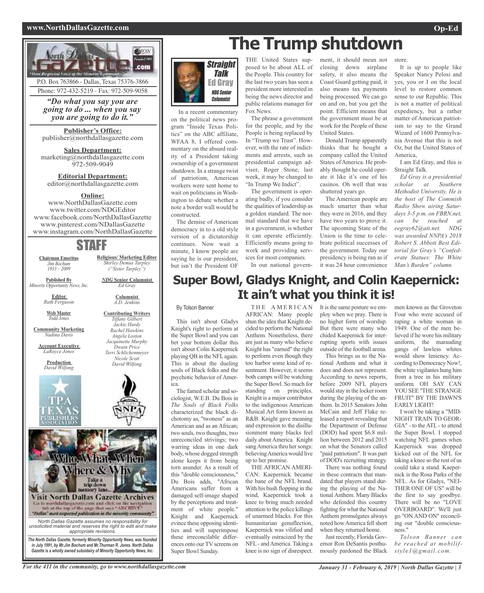### **www.NorthDallasGazette.com Op-Ed**



Phone: 972-432-5219 - Fax: 972-509-9058

*"Do what you say you are going to do ... when you say you are going to do it."*

**Publisher's Office:** publisher@northdallasgazette.com

**Sales Department:** marketing@northdallasgazette.com 972-509-9049

**Editorial Department:** editor@northdallasgazette.com

### **Online:**

www.NorthDallasGazette.com www.twitter.com/NDGEditor www.facebook.com/NorthDallasGazette www.pinterest.com/NDallasGazette www.instagram.com/NorthDallasGazette

## STAFF

**Chairman Emeritus** *Jim Bochum 1933 – 2009*

**Published By**

*NDG* **Senior Columnist** *Ed Gray Minority Opportunity News, Inc.*

> **Editor** *Ruth Ferguson*

**Web Master** *Todd Jones*

**Community Marketing** *Nadina Davis*

**Account Executive** *LaRoyce Jones*

> **Production** *David Wilfong*



*Jackie Hardy Rachel Hawkins Angela Loston Jacquinette Murphy Dwain Price Terri Schlichenmeyer Nicole Scott David Wilfong*





In a recent commentary on the political news program "Inside Texas Politics" on the ABC affiliate, WFAA 8, I offered commentary on the absurd reality of a President taking ownership of a government shutdown. In a strange twist of patriotism, American workers were sent home to wait on politicians in Washington to debate whether a note a border wall would be constructed.

The demise of American democracy in to a old style version of a dictatorship continues. Now wait a minute, I know people are saying he is our president, but isn't the President OF

# **The Trump shutdown**

THE United States supposed to be about ALL of the People. This country for the last two years has seen a president more interested in being the news director and public relations manager for Fox News.

The phrase a government for the people, and by the People is being replaced by In "Trump we Trust". However, with the rate of indictments and arrests, such as presidential campaign adviser, Roger Stone, last week, it may be changed to "In Trump We Indict".

The government is operating badly, if you consider the qualities of leadership as a golden standard. The normal standard that we have in a government, is whether it can operate efficiently. Efficiently means going to work and providing services for most companies.

In our national govern-

ment, it should mean not closing down airplane safety, it also means the Coast Guard getting paid, it also means tax payments being processed. We can go on and on, but you get the point. Efficient means that the government must be at work for the People of these United States.

Donald Trump apparently thinks that he bought a company called the United States of America. He probably thought he could operate it like it's one of his casinos. Oh well that was shuttered years go.

The American people are much smarter than what they were in 2016, and they have two years to prove it. The upcoming State of the Union is the time to celebrate political successes of the government. Today our presidency is being ran as if it was 24 hour convenience store.

It is up to people like Speaker Nancy Pelosi and yes, you or I on the local level to restore common sense to our Republic. This is not a matter of political expediency, but a rather matter of American patriotism to say to the Grand Wizard of 1600 Pennsylvania Avenue that this is not Oz, but the United States of America,

I am Ed Gray, and this is Straight Talk.

*Ed Gray is a presidential scholar at Southern Methodist University. He is the host of The Commish Radio Show airing Saturdays 3-5 p.m. on FBRN.net, can be reached at eegray62@att.net. NDG was awarded NNPA's 2018 Robert S. Abbott Best Editorial for Gray's "Confederate Statues: The White Man's Burden" column.*

## **Super Bowl, Gladys Knight, and Colin Kaepernick: It ain't what you think it is!**

### By Tolson Banner

This isn't about Gladys Knight's right to perform at the Super Bowl and you can bet your bottom dollar this isn't about Colin Kaepernick playing QB in the NFL again. This is about the dueling souls of Black folks and the psychotic behavior of America.

The famed scholar and sociologist, W.E.B. Du Bois in *The Souls of Black Folks* characterized the black dichotomy as, "twoness" as an American and as an African; two souls, two thoughts, two unreconciled strivings; two warring ideas in one dark body, whose dogged strength alone keeps it from being torn asunder. As a result of this "double consciousness," Du Bois adds, "African Americans suffer from a damaged self-image shaped by the perceptions and treatment of white people." Knight and Kaepernick evince these opposing identities and will superimpose these irreconcilable differences onto our TV screens on Super Bowl Sunday.

THE AMERICAN AFRICAN: Many people shun the idea that Knight decided to perform the National Anthem. Nonetheless, there are just as many who believe Knight has "earned" the right to perform even though they too harbor some kind of resentment. However, it seems both camps will be watching the Super Bowl. So much for standing on principles. Knight is a major contributor to the indigenous American Musical Art form known as R&B. Knight gave meaning and expression to the disillusionment many blacks feel daily aboutAmerica. Knight sang America thru her songs: believingAmerica would live up to her promise.

THE AFRICAN AMERI-CAN: Kaepernick became the bane of the NFL brand. With his bush flopping in the wind, Kaepernick took a knee to bring much needed attention to the police killings of unarmed blacks. For this humanitarian genuflection, Kaepernick was vilified and eventually ostracized by the NFL- andAmerica. Taking a knee is no sign of disrespect.

It is the same posture we employ when we pray. There is no higher form of worship. But there were many who chided Kaepernick for interrupting sports with issues outside of the football arena.

This brings us to the National Anthem and what it does and does not represent. According to news reports, before 2009 NFL players would stay in the locker room during the playing of the anthem. In 2015 Senators John McCain and Jeff Flake released a report revealing that the Department of Defense (DOD) had spent \$6.8 million between 2012 and 2015 on what the Senators called "paid patriotism". It was part of DOD's recruiting strategy.

There was nothing found in these contracts that mandated that players stand during the playing of the National Anthem. Many Blacks who defended this country fighting for what the National Anthem promulgates always noted how America fell short when they returned home.

Just recently, Florida Governor Ron DeSantis posthumously pardoned the Black

men known as the Groveton Four who were accused of raping a white woman in 1949. One of the men believed if he wore his military uniform, the marauding gangs of lawless whites would show leniency. According to Democracy Now!, the white vigilantes hung him from a tree in his military uniform. OH SAY CAN YOU SEE "THE STRANGE FRUIT" BY THE DAWN'S EARLY LIGHT!

I won't be taking a "MID-NIGHT TRAIN TO GEOR-GIA" - to the ATL - to attend the Super Bowl. I stopped watching NFL games when Kaepernick was dropped kicked out of the NFL for taking a knee so the rest of us could take a stand. Kaepernick is the Rosa Parks of the NFL. As for Gladys, "NEI-THER ONE OF US" will be the first to say goodbye. There will be no "LOVE OVERBOARD". We'll just go "ON AND ON" reconciling our "double consciousness."

*Tolson Banner can be reached at mobilifstyle1@gmail.com.*

**Columnist** *A.D. Jenkins* **Contributing Writers** *Tiffany Gilbert*

**Religious/ Marketing Editor** *Shirley Demus Tarpley ("Sister Tarpley")*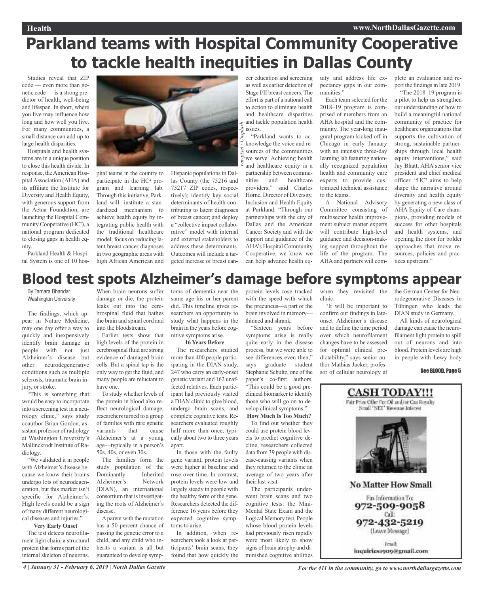# **Parkland teams with Hospital Community Cooperative to tackle health inequities in Dallas County**

*rawpixel / Unsplash*

Studies reveal that ZIP code — even more than genetic code — is a strong predictor of health, well-being and lifespan. In short, where you live may influence how long and how well you live. For many communities, a small distance can add up to large health disparities.

Hospitals and health systems are in a unique position to close this health divide. In response, the American HospitalAssociation (AHA) and its affiliate the Institute for Diversity and Health Equity, with generous support from the Aetna Foundation, are launching the Hospital Community Cooperative (HC²), a national program dedicated to closing gaps in health equity.

Parkland Health & Hospital System is one of 10 hos-



pital teams in the country to participate in the HC² program and learning lab. Through this initiative, Parkland will: institute a standardized mechanism to achieve health equity by integrating public health with the traditional healthcare model; focus on reducing latent breast cancer diagnoses in two geographic areas with high African American and

Hispanic populations in Dallas County (the 75216 and 75217 ZIP codes, respectively); identify key social determinants of health contributing to latent diagnoses of breast cancer; and deploy a "collective impact collaborative" model with internal and external stakeholders to address these determinants. Outcomes will include a targeted increase of breast can-

cer education and screening as well as earlier detection of Stage I/II breast cancers. The effort is part of a national call to action to eliminate health and healthcare disparities and tackle population health issues.

"Parkland wants to acknowledge the voice and resources of the communities we serve. Achieving health and healthcare equity is a partnership between communities and healthcare providers," said Charles Horne, Director of Diversity, Inclusion and Health Equity at Parkland. "Through our partnerships with the city of Dallas and the American Cancer Society and with the support and guidance of the AHA's Hospital Community Cooperative, we know we can help advance health equity and address life expectancy gaps in our communities."

Each team selected for the 2018–19 program is comprised of members from an AHA hospital and the community. The year-long inaugural program kicked off in Chicago in early January with an intensive three-day learning lab featuring nationally recognized population health and community care experts to provide customized technical assistance to the teams.

A National Advisory Committee consisting of multisector health improvement subject matter experts will contribute high-level guidance and decision-making support throughout the life of the program. The AHA and partners will complete an evaluation and report the findings in late 2019.

"The 2018–19 program is a pilot to help us strengthen our understanding of how to build a meaningful national community of practice for healthcare organizations that supports the cultivation of strong, sustainable partnerships through local health equity interventions," said Jay Bhatt, AHA senior vice president and chief medical officer. "HC² aims to help shape the narrative around diversity and health equity by generating a new class of AHA Equity of Care champions, providing models of success for other hospitals and health systems, and opening the door for bolder approaches that move resources, policies and practices upstream."

# **Blood test spots Alzheimer's damage before symptoms appear**

By Tamara Bhandar Washington University

The findings, which appear in Nature Medicine, may one day offer a way to quickly and inexpensively identify brain damage in people with not just Alzheimer's disease but other neurodegenerative conditions such as multiple sclerosis, traumatic brain injury, or stroke.

"This is something that would be easy to incorporate into a screening test in a neurology clinic," says study coauthor Brian Gordon, assistant professor of radiology at Washington University's Mallinckrodt Institute of Radiology.

"We validated it in people withAlzheimer's disease because we know their brains undergo lots of neurodegeneration, but this marker isn't specific for Alzheimer's. High levels could be a sign of many different neurological diseases and injuries."

### **Very Early Onset**

The test detects neurofilament light chain, a structural protein that forms part of the internal skeleton of neurons.

When brain neurons suffer damage or die, the protein leaks out into the cerebrospinal fluid that bathes the brain and spinal cord and into the bloodstream.

Earlier tests show that high levels of the protein in cerebrospinal fluid are strong evidence of damaged brain cells. But a spinal tap is the only way to get the fluid, and many people are reluctant to have one.

To study whether levels of the protein in blood also reflect neurological damage, researchers turned to a group of families with rare genetic variants that cause Alzheimer's at a young age—typically in a person's 50s, 40s, or even 30s.

The families form the study population of the Dominantly Inherited Alzheimer's Network (DIAN), an international consortium that is investigating the roots of Alzheimer's disease.

Aparent with the mutation has a 50 percent chance of passing the genetic error to a child, and any child who inherits a variant is all but guaranteed to develop symptoms of dementia near the same age his or her parent did. This timeline gives researchers an opportunity to study what happens in the brain in the years before cognitive symptoms arise.

### **16 Years Before**

The researchers studied more than 400 people participating in the DIAN study, 247 who carry an early-onset genetic variant and 162 unaffected relatives. Each participant had previously visited a DIAN clinic to give blood, undergo brain scans, and complete cognitive tests. Researchers evaluated roughly half more than once, typically about two to three years apart.

In those with the faulty gene variant, protein levels were higher at baseline and rose over time. In contrast, protein levels were low and largely steady in people with the healthy form of the gene. Researchers detected the difference 16 years before they expected cognitive symptoms to arise.

In addition, when researchers took a look at participants' brain scans, they found that how quickly the protein levels rose tracked with the speed with which the precuneus—a part of the brain involved in memory thinned and shrank.

"Sixteen years before symptoms arise is really quite early in the disease process, but we were able to see differences even then," says graduate student Stephanie Schultz, one of the paper's co-first authors. "This could be a good preclinical biomarker to identify those who will go on to develop clinical symptoms." **How Much Is Too Much?**

To find out whether they could use protein blood levels to predict cognitive decline, researchers collected data from 39 people with disease-causing variants when they returned to the clinic an average of two years after their last visit.

The participants underwent brain scans and two cognitive tests: the Mini-Mental State Exam and the Logical Memory test. People whose blood protein levels had previously risen rapidly were most likely to show signs of brain atrophy and diminished cognitive abilities

when they revisited the clinic.

"It will be important to confirm our findings in lateonset Alzheimer's disease and to define the time period over which neurofilament changes have to be assessed for optimal clinical predictability," says senior author Mathias Jucker, professor of cellular neurology at

the German Center for Neurodegenerative Diseases in Tübingen who leads the DIAN study in Germany.

All kinds of neurological damage can cause the neurofilament light protein to spill out of neurons and into blood. Protein levels are high in people with Lewy body

### See BLOOD, Page 5

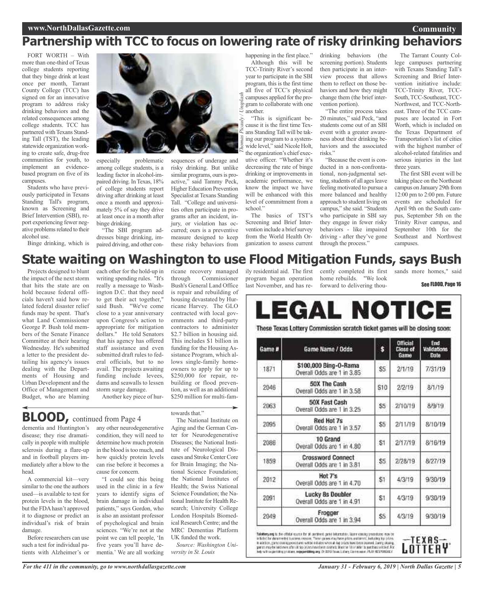# **Partnership with TCC to focus on lowering rate of risky drinking behaviors**

Unsplash

FORT WORTH – With more than one-third of Texas college students reporting that they binge drink at least once per month, Tarrant County College (TCC) has signed on for an innovative program to address risky drinking behaviors and the related consequences among college students. TCC has partnered with Texans Standing Tall (TST), the leading statewide organization working to create safe, drug-free communities for youth, to implement an evidencebased program on five of its campuses.

Students who have previously participated in Texans Standing Tall's program, known as Screening and Brief Intervention (SBI), report experiencing fewer negative problems related to their alcohol use.

Binge drinking, which is



especially problematic among college students, is a leading factor in alcohol-impaired driving. InTexas, 18% of college students report driving after drinking at least once a month and approximately 5% of say they drive at least once in a month after binge drinking.

"The SBI program addresses binge drinking, impaired driving, and other consequences of underage and risky drinking. But unlike similar programs, ours is proactive," said Tammy Peck, Higher Education Prevention Specialist at Texans Standing Tall. "College and universities often participate in programs after an incident, injury, or violation has occurred; ours is a preventive measure designed to keep these risky behaviors from happening in the first place." Although this will be TCC-Trinity River's second year to participate in the SBI program, this is the first time all five of TCC's physical campuses applied for the program to collaborate with one another.

"This is significant because it is the first time Texans Standing Tall will be taking our program to a systemwide level," said Nicole Holt, the organization's chief executive officer. "Whether it's decreasing the rate of binge drinking or improvements in academic performance, we know the impact we have will be enhanced with this level of commitment from a school." *Thomas Picauly / Unsplash*

The basics of TST's Screening and Brief Intervention include a brief survey from the World Health Organization to assess current drinking behaviors (the screening portion). Students then participate in an interview process that allows them to reflect on those behaviors and how they might change them (the brief intervention portion).

"The entire process takes 20 minutes," said Peck, "and students come out of an SBI event with a greater awareness about their drinking behaviors and the associated risks."

"Because the event is conducted in a non-confrontational, non-judgmental setting, students of all ages leave feeling motivated to pursue a more balanced and healthy approach to student living on campus," she said. "Students who participate in SBI say they engage in fewer risky behaviors - like impaired driving - after they've gone through the process."

The Tarrant County College campuses partnering with Texans Standing Tall's Screening and Brief Intervention initiative include: TCC-Trinity River, TCC-South,TCC-Southeast,TCC-Northwest, and TCC-Northeast. Three of the TCC campuses are located in Fort Worth, which is included on the Texas Department of Transportation's list of cities with the highest number of alcohol-related fatalities and serious injuries in the last three years.

**Community**

The first SBI event will be taking place on the Northeast campus on January 29th from 12:00 pm to 2:00 pm. Future events are scheduled for April 9th on the South campus, September 5th on the Trinity River campus, and September 10th for the Southeast and Northwest campuses.

## **State waiting on Washington to use Flood Mitigation Funds, says Bush**

Projects designed to blunt the impact of the next storm that hits the state are on hold because federal officials haven't said how related federal disaster relief funds may be spent. That's what Land Commissioner George P. Bush told members of the Senate Finance Committee at their hearing Wednesday. He's submitted a letter to the president detailing his agency's issues dealing with the Departments of Housing and Urban Development and the Office of Management and Budget, who are blaming

each other for the hold-up in writing spending rules. "It's really a message to Washington D.C. that they need to get their act together," said Bush. "We've come close to a year anniversary upon Congress's action to appropriate for mitigation dollars." He told Senators that his agency has offered staff assistance and even submitted draft rules to federal officials, but to no avail. The projects awaiting funding include levees, dams and seawalls to lessen storm surge damage. Another key piece of hur-

ricane recovery managed through Commissioner Bush's General Land Office is repair and rebuilding of housing devastated by Hurricane Harvey. The GLO contracted with local governments and third-party contractors to administer \$2.7 billion in housing aid. This includes \$1 billion in funding for the Housing Assistance Program, which allows single-family homeowners to apply for up to \$250,000 for repair, rebuilding or flood prevention, as well as an additional \$250 million for multi-fam-

towards that."

**BLOOD,** continued from Page <sup>4</sup>

dementia and Huntington's disease; they rise dramatically in people with multiple sclerosis during a flare-up and in football players immediately after a blow to the head.

A commercial kit—very similar to the one the authors used—is available to test for protein levels in the blood, but the FDA hasn't approved it to diagnose or predict an individual's risk of brain damage.

Before researchers can use such a test for individual patients with Alzheimer's or

any other neurodegenerative condition, they will need to determine how much protein in the blood is too much, and how quickly protein levels can rise before it becomes a cause for concern.

"I could see this being used in the clinic in a few years to identify signs of brain damage in individual patients," says Gordon, who is also an assistant professor of psychological and brain sciences. "We're not at the point we can tell people, 'In five years you'll have dementia.' We are all working

The National Institute on Aging and the German Center for Neurodegenerative Diseases; the National Institute of Neurological Diseases and Stroke Center Core for Brain Imaging; the National Science Foundation; the National Institutes of Health; the Swiss National Science Foundation; the National Institute for Health Research; University College London Hospitals Biomedical Research Centre; and the MRC Dementias Platform UK funded the work.

*Source: Washington University in St. Louis*

last November, and has re-forward to delivering thou-

ily residential aid. The first cently completed its first sands more homes," said program began operation home rebuilds. "We look

See FLOOD, Page 16

#### **LEGAL NOTICE** These Texas Lottery Commission scratch ticket games will be closing soon: **Official** End \$ Game # Game Name / Odds Close of Validations Date Game \$100,000 Bing-0-Rama 1871  $2/1/19$ S5 7/31/19 Overall Odds are 1 in 3.85 50X The Cash 2046 S10 2/2/19  $8/1/19$ Overall Odds are 1 in 3.58 50X Fast Cash 2063 S5 2/10/19 8/9/19 Overall Odds are 1 in 3.25 Red Hot 7s 2095 2/11/19 8/10/19 \$5 Overall Odds are 1 in 3.57 10 Grand 2086 S1 2/17/19 8/16/19 Overall Odds are 1 in 4.80 **Crossword Connect** 1859 \$5 2/28/19 8/27/19 Overall Odds are 1 in 3.81

Hot 7's 4/3/19 2012 9/30/19 S1 Overall Odds are 1 in 4.70 **Lucky 8s Doubler** 2091 4/3/19 9/30/19 S1 Overall Odds are 1 in 4.91 Frogger 2049 \$5 4/3/19 9/30/19 Overall Odds are 1 in 3.94

Tolothery.org is the official studie for all pertinent game internation. Seare cosmig procedures may be in fields for denormated tussiers, researc. These games may have plans and simulation for plans in addition, game closing procedures without interaction of the plans in additional procedures with the second whom the proced

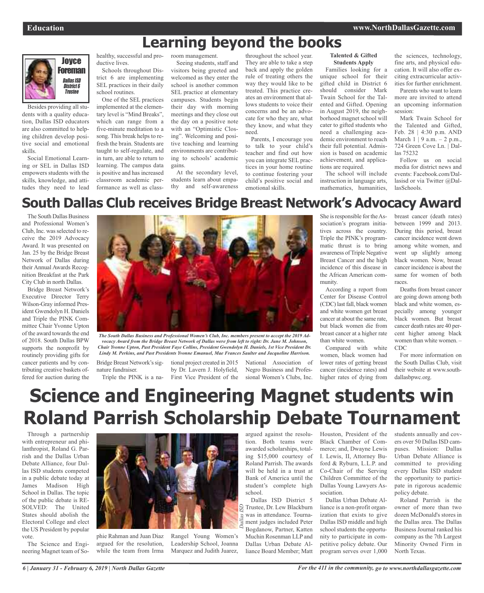# **Learning beyond the books**



Besides providing all students with a quality education, Dallas ISD educators are also committed to helping children develop positive social and emotional skills.

Social Emotional Learning or SEL in Dallas ISD empowers students with the skills, knowledge, and attitudes they need to lead healthy, successful and productive lives.

Schools throughout District 6 are implementing SEL practices in their daily school routines.

One of the SEL practices implemented at the elementary level is "Mind Breaks", which can range from a five-minute meditation to a song. This break helps to refresh the brain. Students are taught to self-regulate, and in turn, are able to return to learning. The campus data is positive and has increased classroom academic performance as well as classroom management.

Seeing students, staff and visitors being greeted and welcomed as they enter the school is another common SEL practice at elementary campuses. Students begin their day with morning meetings and they close out the day on a positive note with an "Optimistic Closing". Welcoming and positive teaching and learning environments are contributing to schools' academic gains.

At the secondary level, students learn about empathy and self-awareness

throughout the school year. They are able to take a step back and apply the golden rule of treating others the way they would like to be treated. This practice creates an environment that allows students to voice their concerns and be an advocate for who they are, what they know, and what they need.

Parents, I encourage you to talk to your child's teacher and find out how you can integrate SEL practices in your home routine to continue fostering your child's positive social and emotional skills.

### **Talented & Gifted Students Apply**

Families looking for a unique school for their gifted child in District 6 should consider Mark Twain School for the Talented and Gifted. Opening in August 2019, the neighborhood magnet school will cater to gifted students who need a challenging academic environment to reach their full potential. Admission is based on academic achievement, and applications are required.

The school will include instruction in language arts, mathematics, humanities, the sciences, technology, fine arts, and physical education. It will also offer exciting extracurricular activities for further enrichment.

Parents who want to learn more are invited to attend an upcoming information session:

Mark Twain School for the Talented and Gifted, Feb. 28 | 4:30 p.m. AND March  $1 \mid 9$  a.m.  $- 2$  p.m., 724 Green Cove Ln. | Dallas 75232

Follow us on social media for district news and events: Facebook.com/Dallasisd or via Twitter @DallasSchools.

# **South Dallas Club receives Bridge Breast Network's Advocacy Award**

The South Dallas Business and Professional Women's Club, Inc. was selected to receive the 2019 Advocacy Award. It was presented on Jan. 25 by the Bridge Breast Network of Dallas during their Annual Awards Recognition Breakfast at the Park City Club in north Dallas.

Bridge Breast Network's Executive Director Terry Wilson-Gray informed President Gwendolyn H. Daniels and Triple the PINK Committee Chair Yvonne Upton of the award towards the end of 2018. South Dallas BPW supports the nonprofit by routinely providing gifts for cancer patients and by contributing creative baskets offered for auction during the



*The South Dallas Business and Professional Women's Club, Inc. members present to accept the 2019 Ad*vocacy Award from the Bridge Breast Network of Dallas were from left to right: Dr. June M. Johnson, *Chair Yvonne Upton, Past President Faye Collins, President Gwendolyn H. Daniels, 1st Vice President Dr. Lindy M. Perkins, and Past Presidents Yvonne Emanuel, Mae Frances Saulter and Jacqueline Harrison.*

Bridge Breast Network's signature fundraiser.

Triple the PINK is a na-First Vice President of the tional project created in 2015 by Dr. Lavern J. Holyfield,

National Association of Negro Business and Professional Women's Clubs, Inc. She is responsible for the Association's program initiatives across the country. Triple the PINK's programmatic thrust is to bring awareness of Triple Negative Breast Cancer and the high incidence of this disease in the African American community.

According a report from Center for Disease Control (CDC) last fall, black women and white women get breast cancer at about the same rate, but black women die from breast cancer at a higher rate than white women.

Compared with white women, black women had lower rates of getting breast cancer (incidence rates) and higher rates of dying from

breast cancer (death rates) between 1999 and 2013. During this period, breast cancer incidence went down among white women, and went up slightly among black women. Now, breast cancer incidence is about the same for women of both races.

Deaths from breast cancer are going down among both black and white women, especially among younger black women. But breast cancer death rates are 40 percent higher among black women than white women. – CDC

For more information on the South Dallas Club, visit their website at www.southdallasbpwc.org.

# **Science and Engineering Magnet students win Roland Parrish Scholarship Debate Tournament**

Through a partnership with entrepreneur and philanthropist, Roland G. Parrish and the Dallas Urban Debate Alliance, four Dallas ISD students competed in a public debate today at James Madison High School in Dallas. The topic of the public debate is RE-SOLVED: The United States should abolish the Electoral College and elect the US President by popular vote.

The Science and Engineering Magnet team of So-



phie Rahman and Juan Diaz argued for the resolution, while the team from Irma

Leadership School, Joanna Marquez and Judith Juarez,

argued against the resolution. Both teams were awarded scholarships, totaling \$15,000 courtesy of Roland Parrish. The awards will be held in a trust at Bank of America until the student's complete high school.

Dallas ISD District 5 Trustee, Dr. Lew Blackburn was in attendance. Tournament judges included Peter Bogdanow, Partner, Katten Muchin Rosenman LLP and Dallas Urban Debate Alliance Board Member; Matt

Houston, President of the Black Chamber of Commerce; and, Dwayne Lewis I. Lewis, II, Attorney Buford & Ryburn, L.L.P. and Co-Chair of the Serving Children Committee of the Dallas Young Lawyers Association.

Dallas Urban Debate Alliance is a non-profit organization that exists to give Dallas ISD middle and high school students the opportunity to participate in competitive policy debate. Our program serves over 1,000

students annually and covers over 50 Dallas ISD campuses. Mission: Dallas Urban Debate Alliance is committed to providing every Dallas ISD student the opportunity to participate in rigorous academic policy debate.

Roland Parrish is the owner of more than two dozen McDonald's stores in the Dallas area. The Dallas Business Journal ranked his company as the 7th Largest Minority Owned Firm in North Texas.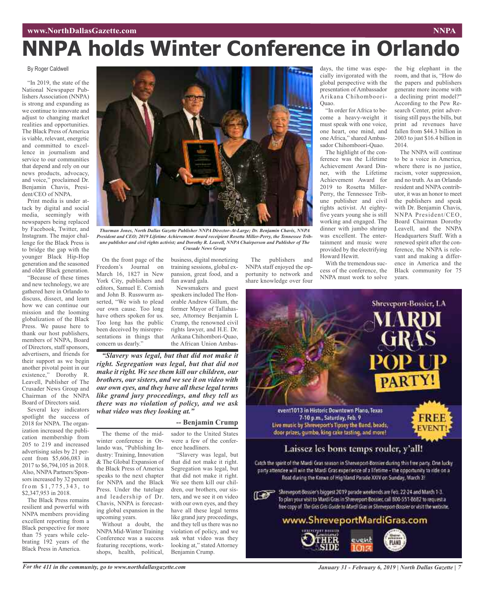# **NNPA holds Winter Conference in Orlando**

### By Roger Caldwell

"In 2019, the state of the National Newspaper Publishers Association (NNPA) is strong and expanding as we continue to innovate and adjust to changing market realities and opportunities. The Black Press of America is viable, relevant, energetic and committed to excellence in journalism and service to our communities that depend and rely on our news products, advocacy, and voice," proclaimed Dr. Benjamin Chavis, President/CEO of NNPA.

Print media is under attack by digital and social media, seemingly with newspapers being replaced by Facebook, Twitter, and Instagram. The major challenge for the Black Press is to bridge the gap with the younger Black Hip-Hop generation and the seasoned and older Black generation.

"Because of these times and new technology, we are gathered here in Orlando to discuss, dissect, and learn how we can continue our mission and the looming globalization of the Black Press. We pause here to thank our host publishers, members of NNPA, Board of Directors, staff sponsors, advertisers, and friends for their support as we begin another pivotal point in our existence," Dorothy R. Leavell, Publisher of The Crusader News Group and Chairman of the NNPA Board of Directors said.

Several key indicators spotlight the success of 2018 for NNPA. The organization increased the publication membership from 205 to 219 and increased advertising sales by 21 percent from \$5,606,083 in 2017 to \$6,794,105 in 2018. Also, NNPA Partners/Sponsors increased by 32 percent from  $$1,775,343, to$ \$2,347,953 in 2018.

The Black Press remains resilient and powerful with NNPA members providing excellent reporting from a Black perspective for more than 75 years while celebrating 192 years of the Black Press in America.



*Thurman Jones, North Dallas Gazette Publisher NNPA Director-At-Large; Dr. Benjamin Chavis, NNPA President and CEO; 2019 Lifetime Achievement Award receipient Rosetta Miller-Perry, the Tennessee Tribune publisher and civil rights activist; and Dorothy R. Leavell, NNPA Chairperson and Publisher of The Crusade News Group*

training sessions, global expansion, great food, and a

Newsmakers and guest speakers included The Honorable Andrew Gillum, the former Mayor of Tallahassee, Attorney Benjamin L Crump, the renowned civil rights lawyer, and H.E. Dr. Arikana Chihombori-Quao,

fun award gala.

On the front page of the Freedom's Journal on March 16, 1827 in New York City, publishers and editors, Samuel E. Cornish and John B. Russwurm asserted, "We wish to plead our own cause. Too long have others spoken for us. Too long has the public been deceived by misrepresentations in things that concern us dearly." business, digital monetizing

the African Union Ambas-*"Slavery was legal, but that did not make it right. Segregation was legal, but that did not make it right. We see them kill our children, our brothers, our sisters, and we see it on video with our own eyes, and they have all these legal terms like grand jury proceedings, and they tell us there was no violation of policy, and we ask what video was they looking at."*

### **-- Benjamin Crump**

The theme of the midwinter conference in Orlando was, "Publishing Industry: Training, Innovation & The Global Expansion of the Black Press of America speaks to the next chapter for NNPA and the Black Press. Under the tutelage and leadership of Dr. Chavis, NNPA is forecasting global expansion in the upcoming years.

Without a doubt, the NNPA Mid-Winter Training Conference was a success featuring receptions, workshops, health, political, sador to the United States were a few of the conference headliners.

"Slavery was legal, but that did not make it right. Segregation was legal, but that did not make it right. We see them kill our children, our brothers, our sisters, and we see it on video with our own eyes, and they have all these legal terms like grand jury proceedings, and they tell us there was no violation of policy, and we ask what video was they looking at," stated Attorney Benjamin Crump.

The publishers and NNPA staff enjoyed the opportunity to network and share knowledge over four

days, the time was especially invigorated with the global perspective with the presentation of Ambassador Arikana Chihomboori-Quao.

"In order for Africa to become a heavy-weight it must speak with one voice, one heart, one mind, and one Africa," shared Ambassador Chihomboori-Quao.

The highlight of the conference was the Lifetime Achievement Award Dinner, with the Lifetime Achievement Award for 2019 to Rosetta Miller-Perry, the Tennessee Tribune publisher and civil rights activist. At eightyfive years young she is still working and engaged. The dinner with jumbo shrimp was excellent. The entertainment and music were provided by the electrifying Howard Hewitt.

With the tremendous success of the conference, the NNPA must work to solve the big elephant in the room, and that is, "How do the papers and publishers generate more income with a declining print model?" According to the Pew Research Center, print advertising still pays the bills, but print ad revenues have fallen from \$44.3 billion in 2003 to just \$16.4 billion in 2014.

The NNPA will continue to be a voice in America, where there is no justice, racism, voter suppression, and no truth. As an Orlando resident and NNPA contributor, it was an honor to meet the publishers and speak with Dr. Benjamin Chavis, NNPA President/CEO, Board Chairman Dorothy Leavell, and the NNPA Headquarters Staff. With a renewed spirit after the conference, the NNPA is relevant and making a difference in America and the Black community for 75 years.

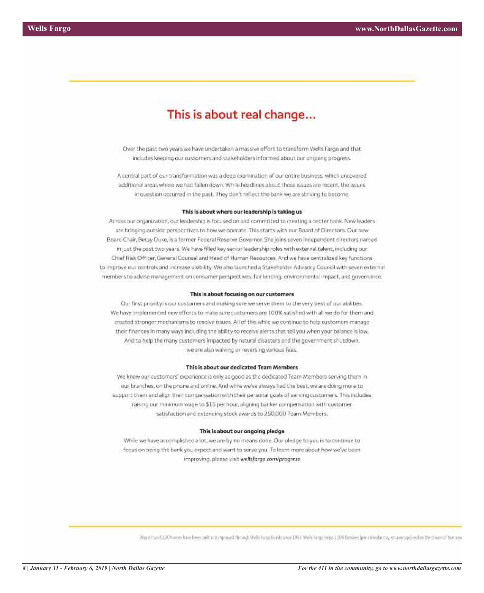## This is about real change...

Over the past two years we have undertaken a massive effort to transform Wells Fargo and that includes keeping our customers and stakeholders informed about our ongoing progress.

A central part of our transformation was a deep examination of our entire business, which uncovered additional areas where we had fallen down. While headlines about these issues are recent, the issues in question occurred in the past. They don't reflect the bank we are striving to become.

### This is about where our leadership is taking us

Across our organization, our leadership is focused on and committed to creating a better bank. New leaders are bringing outside perspectives to how we operate. This starts with our Board of Directors. Our new Board Chair, Betsy Duke, is a former Federal Reserve Governor. She joins seven independent directors named. in just the past two years. We have filled key senior leadership roles with external talent, including our Chief Risk Officer, General Counsel and Head of Human Resources. And we have centralized key functions. to improve our controls and increase visibility. We also launched a Stakeholder Advisory Council with seven external members to advise management on consumer perspectives. fair lending, environmental impact, and governance.

### This is about focusing on our customers

Our first priority is our customers and making sure we serve them to the very best of our abilities. We have implemented new efforts to make sure customers are 100% satisfied with all we do for them and created stronger mechanisms to resolve issues. All of this while we continue to help customers manage their finances in many ways including the ability to receive alerts that tell you when your balance is low. And to help the many customers impacted by natural disasters and the government shutdown, we are also waiving or reversing various fees.

### This is about our dedicated Team Members

We know our customers' experience is only as good as the dedicated Team Members serving them in our branches, on the phone and online. And while we've always had the best, we are doing more to support them and align their compensation with their personal goals of serving customers. This indudes raising our minimum wage to \$15 per hour, aligning banker compensation with customer satisfaction and extending stock awards to 250,000 Team Members.

### This is about our ongoing pledge

While we have accomplished a lot, we are by no means done. Our pledge to you is to continue to focus on being the bank you expect and want to serve you. To learn more about how we've been improving, please visit wellsfargo.com/progress

More than 8.120 homes have been out turn improved through Wells Furgo Scalds used 1977 Wells Furgo beins 1.374 families (per calendar cay, on average) realize the dissurant form on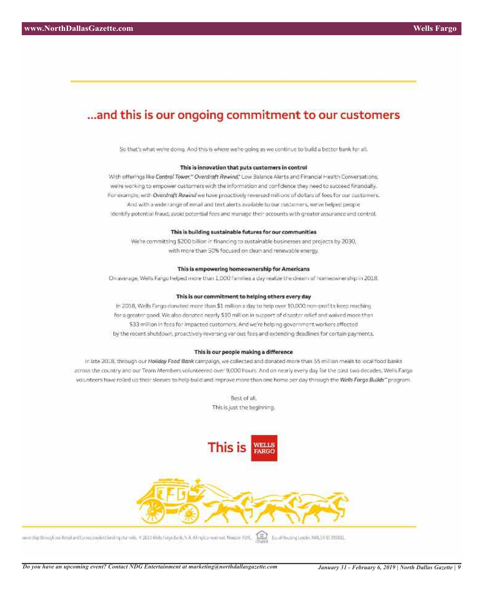### ... and this is our ongoing commitment to our customers

So that's what we're doing. And this is where we're going as we continue to build a better bank for all.

### This is innovation that puts customers in control

With offerings like Control Tower," Overdraft Rewind," Low Balance Alerts and Financial Health Conversations, we're working to empower customers with the information and confidence they need to succeed financially. For example, with Overdraft Rewind we have proactively reversed millions of dollars of fees for our customers. And with a wide range of email and text alerts available to our customers, we've helped people identify potential fraud, avoid potential fees and manage their accounts with greater assurance and control.

### This is building sustainable futures for our communities

We're committing \$200 billion in financing to sustainable businesses and projects by 2030, with more than 50% focused on clean and renewable energy.

### This is empowering homeownership for Americans

On average, Wells Fargo helped more than 1,000 families a day realize the dream of homeownership in 2018.

### This is our commitment to helping others every day

In 2018, Wells Fargo donated more than \$1 million a day to help over 10,000 non-profits keep reaching for a greater good. We also donated nearly \$10 million in support of disaster relief and waived more than \$33 million in fees for impacted customers. And we're helping government workers affected by the recent shutdown, proactively reversing various fees and extending deadlines for certain payments.

### This is our people making a difference

In late 2018, through our Hollday Food Bank campaign, we collected and donated more than 55 million meals to local food banks across the country and our Team Members volunteered over 9,000 hours. And on nearly every day for the past two decades, Wells Fargo volunteers have roiled up their sleeves to help build and improve more than one home per day through the Wells Forgo Builds" program.

> Best of all. This is just the beginning.



nenessig through our throat and Governormbric lending that meta. @ 2015 Web Forgo Bank, N.A. Mingling reserved. Member FDK. Text Results to an International Center, MALSR ID 205001.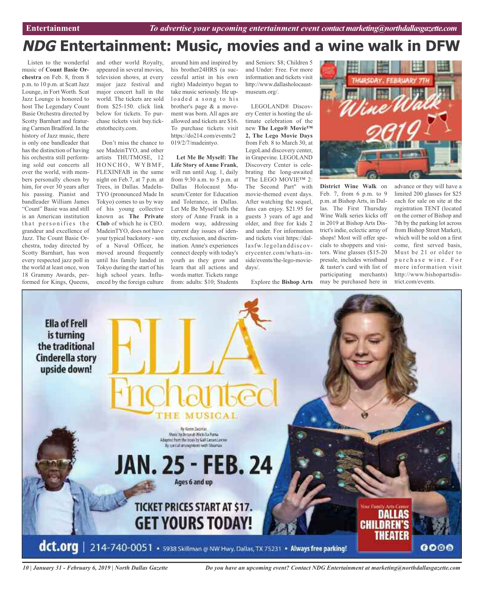# **NDG Entertainment: Music, movies and a wine walk in DFW**

Listen to the wonderful music of **Count Basie Orchestra** on Feb. 8, from 8 p.m. to 10 p.m. at Scatt Jazz Lounge, in Fort Worth. Scat Jazz Lounge is honored to host The Legendary Count Basie Orchestra directed by Scotty Barnhart and featuring Carmen Bradford. In the history of Jazz music, there is only one bandleader that has the distinction of having his orchestra still performing sold out concerts all over the world, with members personally chosen by him, for over 30 years after his passing. Pianist and bandleader William James "Count" Basie was and still is an American institution that personifies the grandeur and excellence of Jazz. The Count Basie Orchestra, today directed by Scotty Barnhart, has won every respected jazz poll in the world at least once, won 18 Grammy Awards, performed for Kings, Queens,

and other world Royalty, appeared in several movies, television shows, at every major jazz festival and major concert hall in the world. The tickets are sold from \$25-150. click link below for tickets. To purchase tickets visit buy.ticketstothecity.com.

Don't miss the chance to see MadeinTYO, and other artists THUTMOSE, 12 HONCHO, WYBMF, FLEXINFAB in the same night on Feb.7, at 7 p.m. at Trees, in Dallas. MadeIn-TYO (pronounced Made In Tokyo) comes to us by way of his young collective known as **The Private Club** of which he is CEO. MadeinTYO, does not have your typical backstory - son of a Naval Officer, he moved around frequently until his family landed in Tokyo during the start of his high school years. Influenced by the foreign culture

around him and inspired by his brother24HRS (a successful artist in his own right) Madeintyo began to take music seriously. He uploaded a song to his brother's page & a movement was born. All ages are allowed and tickets are \$16. To purchase tickets visit https://do214.com/events/2 019/2/7/madeintyo.

**Let Me Be Myself: The Life Story of Anne Frank**, will run until Aug. 1, daily from 9:30 a.m. to 5 p.m. at Dallas Holocaust Museum/Center for Education and Tolerance, in Dallas. Let Me Be Myself tells the story of Anne Frank in a modern way, addressing current day issues of identity, exclusion, and discrimination. Anne's experiences connect deeply with today's youth as they grow and learn that all actions and words matter. Tickets range from: adults: \$10; Students

and Seniors: \$8; Children 5 and Under: Free. For more information and tickets visit http://www.dallasholocaustmuseum.org/.

LEGOLAND® Discovery Center is hosting the ultimate celebration of the new **The Lego® Movie™ 2, The Lego Movie Days** from Feb. 8 to March 30, at LegoLand discovery center, in Grapevine. LEGOLAND Discovery Center is celebrating the long-awaited "The LEGO MOVIE™ 2: The Second Part" with movie-themed event days. After watching the sequel, fans can enjoy. \$21.95 for guests 3 years of age and older, and free for kids 2 and under. For information and tickets visit https://dallasfw.legolanddiscoverycenter.com/whats-inside/events/the-lego-moviedays/.



Explore the **Bishop Arts** may be purchased here in **District Wine Walk** on Feb. 7, from 6 p.m. to 9 p.m. at Bishop Arts, in Dallas. The First Thursday Wine Walk series kicks off in 2019 at Bishop Arts District's indie, eclectic array of shops! Most will offer specials to shoppers and visitors. Wine glasses (\$15-20 presale, includes wristband & taster's card with list of participating merchants) advance or they will have a limited 200 glasses for \$25 each for sale on site at the registration TENT (located on the corner of Bishop and 7th by the parking lot across from Bishop Street Market), which will be sold on a first come, first served basis, Must be 21 or older to purchase wine. For more information visit http://www.bishopartsdistrict.com/events.



*10 | January 31 - February 6, 2019 | North Dallas Gazette*

*Do you have an upcoming event? Contact NDG Entertainment at marketing@northdallasgazette.com*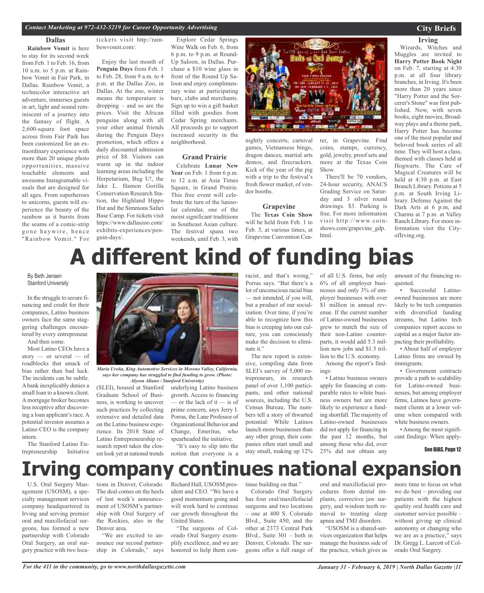### **Dallas**

**Rainbow Vomit** is here to stay for its second week from Feb. 1 to Feb. 16, from 10 a.m. to 5 p.m. at Rainbow Vomit in Fair Park, in Dallas. Rainbow Vomit, a technicolor interactive art adventure, immerses guests in art, light and sound reminiscent of a journey into the fantasy of flight. A 2,600-square foot space across from Fair Park has been customized for an extraordinary experience with more than 20 unique photo opportunities, massive touchable elements and awesome Instagramable visuals that are designed for all ages. From superheroes to unicorns, guests will experience the beauty of the rainbow as it bursts from the seams of a comic-strip gone haywire, hence "Rainbow Vomit." For

tickets visit http://rainbowvomit.com/.

Enjoy the last month of **Penguin Days** from Feb. 1 to Feb. 28, from 9 a.m. to 4 p.m. at the Dallas Zoo, in Dallas. At the zoo, winter means the temperature is dropping – and so are the prices. Visit the African penguins along with all your other animal friends during the Penguin Days promotion, which offers a daily discounted admission price of \$8. Visitors can warm up in the indoor learning areas including the Herpetarium, Bug U!, the Jake L. Hamon Gorilla Conservation Research Station, the Highland Hippo Hut and the Simmons Safari Base Camp. For tickets visit https://www.dallaszoo.com/ exhibits-experiences/penguin-days/.

Explore Cedar Springs Wine Walk on Feb. 6, from 6 p.m. to 9 p.m. at Round-Up Saloon, in Dallas. Purchase a \$10 wine glass in front of the Round Up Saloon and enjoy complimentary wine at participating bars, clubs and merchants. Sign up to win a gift basket filled with goodies from Cedar Spring merchants. All proceeds go to support increased security in the neighborhood.

### **Grand Prairie**

Celebrate **Lunar New Year** on Feb. 1 from 6 p.m. to 12 a.m. at Asia Times Square, in Grand Prairie. This free event will celebrate the turn of the lunisolar calendar, one of the moist significant traditiions in Southeast Asian culture. The festival spans two weekends, until Feb. 3, with



nightly concerts, carnival games, Vietnamese bingo, dragon dances, martial arts demos, and firecrackers. Kick of the year of the pig with a trip to the festival's fresh flower market, of vendor booths.

### **Grapevine**

The **Texas Coin Show** will be held from Feb. 1 to Feb. 3, at various times, at Grapevine Convention Center, in Grapevine. Find coins, stamps, currency, gold, jewelry, proof sets and more at the Texas Coin Show.

There'll be 70 vendors, 24-hour security, ANACS Grading Service on Saturday and 3 silver round drawings. \$3. Parking is free. For more information visit http://www.coinshows.com/grapevine\_gdp. html.

### **City Briefs**

### **Irving**

Wizards, Witches and Muggles are invited to **Harry Potter Book Night** on Feb. 7, starting at 4:30 p.m. at all four library branches, in Irving. It's been more than 20 years since "Harry Potter and the Sorcerer's Stone" was first published. Now, with seven books, eight movies, Broadway plays and a theme park, Harry Potter has become one of the most popular and beloved book series of all time. They will host a class, themed with classes held at Hogwarts. The Care of Magical Creatures will be held at 4:30 p.m. at East Branch Library. Potions at 5 p.m. at South Irving Library. Defense Against the Dark Arts at 6 p.m, and Charms at 7 p.m. at Valley Ranch Library. For more information visit the CityofIrving.org.

# **A different kind of funding bias**

### By Beth Jensen Stanford University

In the struggle to secure financing and credit for their companies, Latino business owners face the same staggering challenges encountered by every entrepreneur. And then some.

Most Latino CEOs have a

story — or several — of roadblocks that smack of bias rather than bad luck. The incidents can be subtle. Abank inexplicably denies a small loan to a known client. A mortgage broker becomes less receptive after discovering a loan applicant's race. A potential investor assumes a Latino CEO is the company intern.

The Stanford Latino Entrepreneurship Initiative



*Maria Ureña, King Automotive Services in Moreno Valley, California, says her company has struggled to find funding to grow. (Photo: Alyson Aliano / Stanford University)*

(SLEI), housed at Stanford Graduate School of Business, is working to uncover such practices by collecting extensive and detailed data on the Latino business experience. Its 2018 State of Latino Entrepreneurship research report takes the closest look yet at national trends

underlying Latino business growth. Access to financing — or the lack of it — is of prime concern, says Jerry I. Porras, the Lane Professor of Organizational Behavior and Change, Emeritus, who spearheaded the initiative.

"It's easy to slip into the notion that everyone is a

racist, and that's wrong," Porras says. "But there's a lot of unconscious racial bias — not intended, if you will, but a product of our socialization. Over time, if you're able to recognize how this bias is creeping into our culture, you can consciously make the decision to eliminate it."

The new report is extensive, compiling data from SLEI's survey of 5,000 entrepreneurs, its research panel of over 1,100 participants, and other national sources, including the U.S. Census Bureau. The numbers tell a story of thwarted potential: While Latinos launch more businesses than any other group, their companies often start small and stay small, making up 12%

of all U.S. firms, but only 6% of all employer businesses and only 3% of employer businesses with over \$1 million in annual revenue. If the current number of Latino-owned businesses grew to match the size of their non-Latino counterparts, it would add 5.3 million new jobs and \$1.5 trillion to the U.S. economy.

Among the report's findings:

• Latino business owners apply for financing at comparable rates to white business owners but are more likely to experience a funding shortfall. The majority of Latino-owned businesses did not apply for financing in the past 12 months, but among those who did, over 25% did not obtain any

amount of the financing requested.

• Successful Latinoowned businesses are more likely to be tech companies with diversified funding streams, but Latino tech companies report access to capital as a major factor impacting their profitability.

• About half of employer Latino firms are owned by immigrants.

• Government contracts provide a path to scalability for Latino-owned businesses, but among employer firms, Latinos have government clients at a lower volume when compared with white business owners.

• Among the most significant findings: When apply-

See BIAS, Page 12

# **Irving company continues national expansion**

U.S. Oral Surgery Management (USOSM), a specialty management services company headquartered in Irving and serving premier oral and maxillofacial surgeons, has formed a new partnership with Colorado Oral Surgery, an oral surgery practice with two loca-

tions in Denver, Colorado. The deal comes on the heels of last week's announcement of USOSM's partnership with Oral Surgery of the Rockies, also in the Denver area.

"We are excited to announce our second partnership in Colorado," says Richard Hall, USOSM president and CEO. "We have a good momentum going and will work hard to continue our growth throughout the United States.

"The surgeons of Colorado Oral Surgery exemplify excellence, and we are honored to help them con-

tinue building on that." Colorado Oral Surgery has four oral/maxillofacial surgeons and two locations – one at 400 S. Colorado Blvd., Suite 450, and the other at 2373 Central Park Blvd., Suite 301 – both in Denver, Colorado. The surgeons offer a full range of

oral and maxillofacial procedures from dental implants, corrective jaw surgery, and wisdom teeth removal to treating sleep apnea and TMJ disorders.

"USOSM is a shared-services organization that helps manage the business side of the practice, which gives us

more time to focus on what we do best – providing our patients with the highest quality oral health care and customer service possible – without giving up clinical autonomy or changing who we are as a practice," says Dr. Gregg L. Lurcott of Colorado Oral Surgery.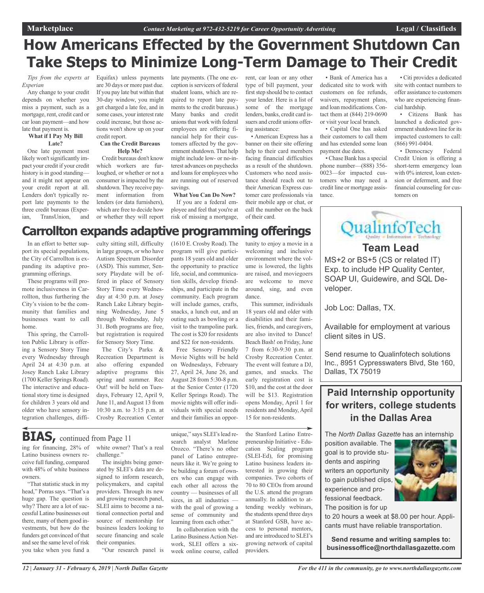# **How Americans Effected by the Government Shutdown Can Take Steps to Minimize Long-Term Damage to Their Credit**

*Tips from the experts at Experian*

Any change to your credit depends on whether you miss a payment, such as a mortgage, rent, credit card or car loan payment—and how late that payment is.

### **What if I Pay My Bill Late?**

One late payment most likely won't significantly impact your credit if your credit history is in good standing and it might not appear on your credit report at all. Lenders don't typically report late payments to the three credit bureaus (Experian, TransUnion, and

Equifax) unless payments are 30 days or more past due. If you pay late but within that 30-day window, you might get charged a late fee, and in some cases, your interest rate could increase, but those actions won't show up on your credit report.

### **Can the Credit Bureaus Help Me?**

Credit bureaus don't know which workers are furloughed, or whether or not a consumer is impacted by the shutdown. They receive payment information from lenders (or data furnishers), which are free to decide how or whether they will report late payments. (The one exception is servicers of federal student loans, which are required to report late payments to the credit bureaus.) Many banks and credit unionsthat work with federal employees are offering financial help for their customers affected by the government shutdown. That help might include low- or no-interest advances on paychecks and loans for employees who are running out of reserved savings.

**What You Can Do Now?** If you are a federal em-

ployee and feel that you're at risk of missing a mortgage, rent, car loan or any other type of bill payment, your first step should be to contact your lender. Here is a list of some of the mortgage lenders, banks, credit card issuers and credit unions offering assistance:

• American Express has a banner on their site offering help to their card members facing financial difficulties as a result of the shutdown. Customers who need assistance should reach out to their American Express customer care professionals via their mobile app or chat, or call the number on the back of their card.

• Bank of America has a dedicated site to work with customers on fee refunds, waivers, repayment plans, and loan modifications. Contact them at (844) 219-0690 or visit your local branch.

• Capital One has asked their customers to call them and has extended some loan payment due dates.

• Chase Bank has a special phone number—(888) 356- 0023—for impacted customers who may need a credit line or mortgage assistance.

• Citi provides a dedicated site with contact numbers to offer assistance to customers who are experiencing financial hardship.

• Citizens Bank has launched a dedicated government shutdown line for its impacted customers to call: (866) 991-0404.

• Democracy Federal Credit Union is offering a short-term emergency loan with 0% interest, loan extension or deferment, and free financial counseling for customers on

# **Carrollton expands adaptive programming offerings**

In an effort to better support its special populations, the City of Carrollton is expanding its adaptive programming offerings.

These programs will promote inclusiveness in Carrollton, thus furthering the City's vision to be the community that families and businesses want to call home.

This spring, the Carrollton Public Library is offering a Sensory Story Time every Wednesday through April 24 at 4:30 p.m. at Josey Ranch Lake Library (1700 Keller Springs Road). The interactive and educational story time is designed for children 3 years old and older who have sensory integration challenges, difficulty sitting still, difficulty in large groups, or who have Autism Spectrum Disorder (ASD). This summer, Sensory Playdate will be offered in place of Sensory Story Time every Wednesday at 4:30 p.m. at Josey Ranch Lake Library beginning Wednesday, June 5 through Wednesday, July 31. Both programs are free, but registration is required for Sensory Story Time.

The City's Parks & Recreation Department is also offering expanded adaptive programs this spring and summer. Rec Out! will be held on Tuesdays, February 12, April 9, June 11, and August 13 from 10:30 a.m. to 3:15 p.m. at Crosby Recreation Center

(1610 E. Crosby Road). The program will give participants 18 years old and older the opportunity to practice life, social, and communication skills, develop friendships, and participate in the community. Each program will include games, crafts, snacks, a lunch out, and an outing such as bowling or a visit to the trampoline park. The cost is \$20 for residents and \$22 for non-residents.

Free Sensory Friendly Movie Nights will be held on Wednesdays, February 27, April 24, June 26, and August 28 from 5:30-8 p.m. at the Senior Center (1720 Keller Springs Road). The movie nights will offer individuals with special needs and their families an opportunity to enjoy a movie in a welcoming and inclusive environment where the volume is lowered, the lights are raised, and moviegoers are welcome to move around, sing, and even dance.

This summer, individuals 18 years old and older with disabilities and their families, friends, and caregivers, are also invited to Dance! Beach Bash! on Friday, June 7 from 6:30-9:30 p.m. at Crosby Recreation Center. The event will feature a DJ, games, and snacks. The early registration cost is \$10, and the cost at the door will be \$13. Registration opens Monday, April 1 for residents and Monday,April 15 for non-residents.

the Stanford Latino Entrepreneurship Initiative - Education Scaling program (SLEI-Ed), for promising Latino business leaders interested in growing their companies. Two cohorts of 70 to 80 CEOs from around the U.S. attend the program annually. In addition to attending weekly webinars, the students spend three days at Stanford GSB, have access to personal mentors, and are introduced to SLEI's growing network of capital providers.

veloper. Job Loc: Dallas, TX.

> Available for employment at various client sites in US.

**Team Lead**

QualinfoTech

MS+2 or BS+5 (CS or related IT) Exp. to include HP Quality Center, SOAP UI, Guidewire, and SQL De-

Send resume to Qualinfotech solutions Inc., 8951 Cypresswaters Blvd, Ste 160, Dallas, TX 75019

### **Paid Internship opportunity for writers, college students in the Dallas Area**

The *North Dallas Gazette* has an internship

position available. The goal is to provide students and aspiring writers an opportunity to gain published clips, experience and professional feedback. The position is for up



to 20 hours a week at \$8.00 per hour. Applicants must have reliable transportation.

**Send resume and writing samples to: businessoffice@northdallasgazette.com**

# **BIAS**, continued from Page 11

ing for financing, 28% of Latino business owners receive full funding, compared with 48% of white business owners.

"That statistic stuck in my head," Porras says. "That's a huge gap. The question is why? There are a lot of successful Latino businesses out there, many of them good investments, but how do the funders get convinced of that and see the same level of risk you take when you fund a

white owner? That's a real challenge."

The insights being generated by SLEI's data are designed to inform research, policymakers, and capital providers. Through its new and growing research panel, SLEI aims to become a national connection portal and source of mentorship for business leaders looking to secure financing and scale their companies.

"Our research panel is

search analyst Marlene Orozco. "There's no other panel of Latino entrepreneurs like it. We're going to be building a forum of owners who can engage with each other all across the country — businesses of all sizes, in all industries with the goal of growing a sense of community and learning from each other." In collaboration with the

Latino Business Action Network, SLEI offers a sixweek online course, called

unique," says SLEI's lead re-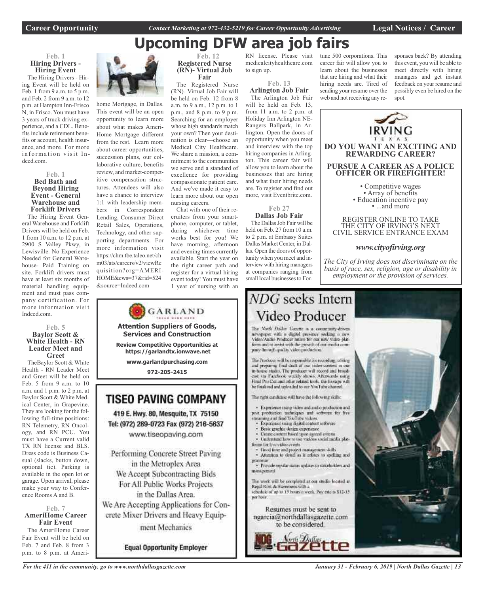IRVING

# **Upcoming DFW area job fairs**

### **Feb. 1 Hiring Drivers - Hiring Event**

The Hiring Drivers - Hiring Event will be held on Feb. 1 from 9 a.m. to 5 p.m. and Feb. 2 from 9 a.m. to 12 p.m. at Hampton Inn-Frisco N, in Frisco. You must have 3 years of truck driving experience, and a CDL. Benefits include retirement benefits or account, health insurance, and more. For more information visit Indeed.com.

### **Feb. 1 Bed Bath and Beyond Hiring Event - General Warehouse and Forklift Drivers**

The Hiring Event General Warehouse and Forklift Drivers will be held on Feb. 1 from 10 a.m. to 12 p.m. at 2900 S Valley Pkwy, in Lewisville. No Experience Needed for General Warehouse- Paid Training on site. Forklift drivers must have at least six months of material handling equipment and must pass company certification. For more information visit Indeed.com.

### **Feb. 5 Baylor Scott & White Health - RN Leader Meet and Greet**

TheBaylor Scott & White Health - RN Leader Meet and Greet will be held on Feb. 5 from 9 a.m. to 10 a.m. and 1 p.m. to 2 p.m. at Baylor Scott & White Medical Center, in Grapevine. They are looking for the following full-time positions: RN Telemetry, RN Oncology, and RN PCU. You must have a Current valid TX RN license and BLS. Dress code is Business Casual (slacks, button down, optional tie). Parking is available in the open lot or garage. Upon arrival, please make your way to Conference Rooms A and B.

### **Feb. 7 AmeriHome Career Fair Event**

The AmeriHome Career Fair Event will be held on Feb. 7 and Feb. 8 from 3 p.m. to 8 p.m. at Ameri-



home Mortgage, in Dallas. This event will be an open opportunity to learn more about what makes Ameri-Home Mortgage different from the rest. Learn more about career opportunities, succession plans, our collaborative culture, benefits review, and market-competitive compensation structures. Attendees will also have a chance to interview 1:1 with leadership members in Correspondent Lending, Consumer Direct Retail Sales, Operations, Technology, and other supporting departments. For more information visit https://chm.tbe.taleo.net/ch m03/ats/careers/v2/viewRe quisition?org=AMERI-HOME&cws=37&rid=524 &source=Indeed.com

### **Feb. 12 Registered Nurse (RN)- Virtual Job Fair**

The Registered Nurse (RN)- Virtual Job Fair will be held on Feb. 12 from 8 a.m. to 9 a.m., 12 p.m. to 1 p.m., and 8 p.m. to 9 p.m. Searching for an employer whose high standards match your own? Then your destination is clear—choose an Medical City Healthcare. We share a mission, a commitment to the communities we serve and a standard of excellence for providing compassionate patient care. And we've made it easy to learn more about our open nursing careers.

Chat with one of their recruiters from your smartphone, computer, or tablet, during whichever time works best for you! We have morning, afternoon and evening times currently available. Start the year on the right career path and register for a virtual hiring event today! You must have 1 year of nursing with an

**Attention Suppliers of Goods, Services and Construction Review Competitive Opportunities at https://garlandtx.ionwave.net www.garlandpurchasing.com 972-205-2415**

**TISEO PAVING COMPANY** 

419 E. Hwy. 80, Mesquite, TX 75150

Tel: (972) 289-0723 Fax (972) 216-5637

www.tiseopaving.com

Performing Concrete Street Paving

in the Metroplex Area

We Accept Subcontracting Bids

For All Public Works Projects

in the Dallas Area.

We Are Accepting Applications for Con-

crete Mixer Drivers and Heavy Equip-

ment Mechanics

**Equal Opportunity Employer** 

GARLAND

RN license. Please visit medicalcityhealthcare.com to sign up.

**Feb. 13**

**Arlington Job Fair** The Arlington Job Fair will be held on Feb. 13, from 11 a.m. to 2 p.m. at Holiday Inn Arlington NE-Rangers Ballpark, in Arlington. Open the doors of opportunity when you meet and interview with the top hiring companies in Arlington. This career fair will allow you to learn about the businesses that are hiring and what their hiring needs are. To register and find out more, visit Eventbrite.com.

### **Feb 27 Dallas Job Fair**

The Dallas Job Fair will be held on Feb. 27 from 10 a.m. to 2 p.m. at Embassy Suites Dallas Market Center, in Dallas. Open the doors of opportunity when you meet and interview with hiring managers at companies ranging from small local businesses to For-

forces for live video events

Repal Row & Stemmons with a

minagement

ner hoor.

### career fair will allow you to learn about the businesses that are hiring and what their hiring needs are. Tired of sending your resume over the web and not receiving any re-

tune 500 corporations. This

sponses back? By attending this event, you will be able to meet directly with hiring managers and get instant feedback on your resume and possibly even be hired on the spot.



*For the 411 in the community, go to www.northdallasgazette.com*

*January 31 - February 6, 2019 | North Dallas Gazette | 13*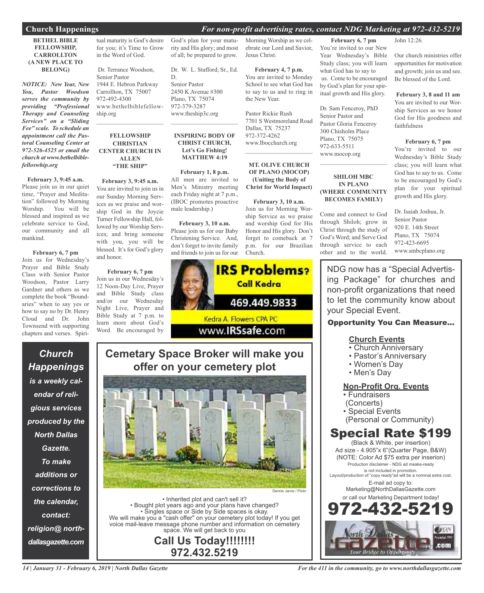### **Church Happenings** *For non-profit advertising rates, contact NDG Marketing at 972-432-5219*

### **BETHEL BIBLE FELLOWSHIP, CARROLLTON (A NEW PLACE TO BELONG)**

*NOTICE: New Year, New You, Pastor Woodson serves the community by providing "Professional Therapy and Counseling Services" on a "Sliding Fee" scale. To schedule an appointment call the Pastoral Counseling Center at 972-526-4525 or email the church at www.bethelbiblefelloswhip.org*

**February 3, 9:45 a.m.** Please join us in our quiet time, "Prayer and Meditation" followed by Morning Worship. You will be blessed and inspired as we celebrate service to God, our community and all mankind.

**February 6, 7 pm** Join us for Wednesday's Prayer and Bible Study Class with Senior Pastor Woodson, Pastor Larry Gardner and others as we complete the book "Boundaries" when to say yes or how to say no by Dr. Henry Cloud and Dr. John Townsend with supporting chapters and verses. Spiri-

*Church*

*Happenings*

*is a weekly cal-*

*endar of reli-*

*gious services*

*produced by the*

*North Dallas*

*Gazette.*

*To make*

*additions or*

*corrections to*

*the calendar,*

*contact:*

*religion@ north-*

*dallasgazette.com*

tual maturity is God's desire for you; it's Time to Grow in the Word of God.

Dr. Terrance Woodson, Senior Pastor 1944 E. Hebron Parkway Carrollton, TX 75007 972-492-4300 www.bethelbiblefellowship.org

 $\overline{\phantom{a}}$  , and the set of the set of the set of the set of the set of the set of the set of the set of the set of the set of the set of the set of the set of the set of the set of the set of the set of the set of the s

### **FELLOWSHIP CHRISTIAN CENTER CHURCH IN ALLEN "THE SHIP"**

**February 3, 9:45 a.m.** You are invited to join us in our Sunday Morning Services as we praise and worship God in the Joycie Turner Fellowship Hall, followed by our Worship Services; and bring someone with you, you will be blessed. It's for God's glory and honor.

**February 6, 7 pm** Join us in our Wednesday's 12 Noon-Day Live, Prayer and Bible Study class and/or our Wednesday Night Live, Prayer and Bible Study at 7 p.m. to learn more about God's Word. Be encouraged by

God's plan for your maturity and His glory; and most of all; be prepared to grow.

Dr. W. L. Stafford, Sr., Ed. D. Senior Pastor 2450 K Avenue #300 Plano, TX 75074 972-379-3287 www.theship3c.org

### **INSPIRING BODY OF CHRIST CHURCH, Let's Go Fishing! MATTHEW 4:19**

 $\overline{\phantom{a}}$  , and the set of the set of the set of the set of the set of the set of the set of the set of the set of the set of the set of the set of the set of the set of the set of the set of the set of the set of the s

### **February 1, 8 p.m.** All men are invited to

Men's Ministry meeting each Friday night at 7 p.m., (IBOC promotes proactive male leadership.)

**February 3, 10 a.m.** Please join us for our Baby Christening Service. And, don't forget to invite family and friends to join us for our



## **Cemetary Space Broker will make you offer on your cemetery plot**

Dennis Jarvis / Flickr

• Inherited plot and can't sell it? • Bought plot years ago and your plans have changed? • Singles space or Side by Side spaces is okay. We will make you a "cash offer" on your cemetery plot today! If you get voice mail-leave message phone number and information on cemetery space. We will get back to you

**Call Us Today!!!!!!!! 972.432.5219**

Morning Worship as we celebrate our Lord and Savior, Jesus Christ.

**February 4, 7 p.m.** You are invited to Monday School to see what God has to say to us and to ring in the New Year.

Pastor Rickie Rush 7701 S Westmoreland Road Dallas, TX 75237 972-372-4262 www.Ibocchurch.org

### **MT. OLIVE CHURCH OF PLANO (MOCOP) (Uniting the Body of Christ for World Impact)**

 $\mathcal{L}$  , and the set of the set of the set of the set of the set of the set of the set of the set of the set of the set of the set of the set of the set of the set of the set of the set of the set of the set of the set

**February 3, 10 a.m.** Join us for Morning Worship Service as we praise and worship God for His Honor and His glory. Don't forget to comeback at 7 p.m. for our Brazilian Church.

**February 6, 7 pm** You're invited to our New Year Wednesday's Bible Study class; you will learn what God has to say to us. Come to be encouraged by God's plan for your spiritual growth and His glory.

Dr. Sam Fenceroy, PhD Senior Pastor and Pastor Gloria Fenceroy 300 Chisholm Place Plano, TX 75075 972-633-5511 www.mocop.org

### **SHILOH MBC IN PLANO (WHERE COMMUNITY BECOMES FAMILY)**

 $\mathcal{L}_\text{max}$  , which is a set of the set of the set of the set of the set of the set of the set of the set of the set of the set of the set of the set of the set of the set of the set of the set of the set of the set of

Come and connect to God through Shiloh; grow in Christ through the study of God's Word; and Serve God through service to each other and to the world.

John 12:26.

Our church ministries offer opportunities for motivation and growth; join us and see. Be blessed of the Lord.

### **February 3, 8 and 11 am**

You are invited to our Worship Services as we honor God for His goodness and faithfulness

### **February 6, 7 pm**

You're invited to our Wednesday's Bible Study class; you will learn what God has to say to us. Come to be encouraged by God's plan for your spiritual growth and His glory.

Dr. Isaiah Joshua, Jr. Senior Pastor 920 E. 14th Street Plano, TX 75074 972-423-6695 www.smbcplano.org

NDG now has a "Special Advertising Package" for churches and non-profit organizations that need to let the community know about your Special Event.

### Opportunity You Can Measure...

### **Church Events**

- Church Anniversary
- Pastor's Anniversary
- Women's Day
- Men's Day

### **Non-Profit Org. Events**

- Fundraisers
- (Concerts)
- Special Events
- (Personal or Community)

## Special Rate \$199

(Black & White, per insertion) Ad size - 4.905"x 6"(Quarter Page, B&W) (NOTE: Color Ad \$75 extra per inserion) Production disclaimer - NDG ad meake-ready is not included in promotion. Layout/production of "copy ready"ad will be a nominal extra cost. E-mail ad copy to: Marketing@NorthDallasGazette.com or call our Marketing Department today!

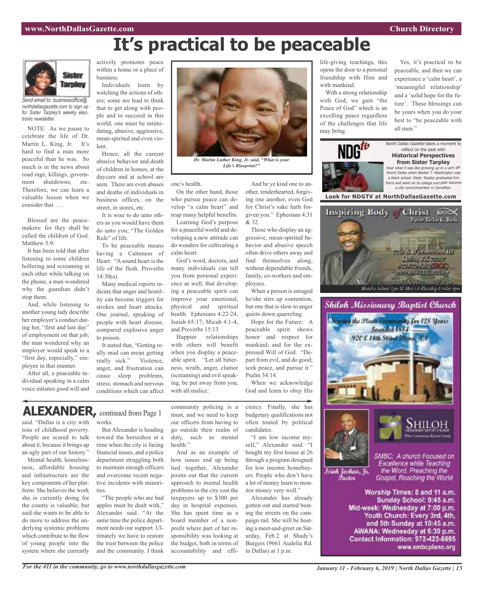# **It's practical to be peaceable**



*Send email to: businessoffice@ northdallasgazette.com to sign up for Sister Tarpley's weekly electronic newsletter.*

NOTE: As we pause to celebrate the life of Dr. Martin L. King, Jr. It's hard to find a man more peaceful than he was. So much is in the news about road rage, killings, government shutdowns, etc. Therefore, we can learn a valuable lesson when we consider that . . .

Blessed are the peacemakers: for they shall be called the children of God. Matthew 5:9.

It has been told that after listening to some children hollering and screaming at each other while talking on the phone, a man wondered why the guardian didn't stop them.

And, while listening to another young lady describe her employer's conduct during her, "first and last day" of employment on that job; the man wondered why an employer would speak to a "first day, especially," employee in that manner.

After all, a peaceable individual speaking in a calm voice initiates good will and actively promotes peace within a home or a place of business.

Individuals learn by watching the actions of others; some are lead to think that to get along with people and to succeed in this world, one must be intimidating, abusive, aggressive, mean-spirited and even violent.

Hence, all the current abusive behavior and death of children in homes, at the daycare and at school are seen. There are even abuses and deaths of individuals in business offices, on the street, in stores, etc.

It is wise to do unto others as you would have them do unto you; "The Golden Rule" of life.

To be peaceable means having a Calmness of Heart: "A sound heart is the life of the flesh. Proverbs  $14:30(a)$ .

Many medical reports indicate that anger and hostility can become triggers for strokes and heart attacks. One journal, speaking of people with heart disease, compared explosive anger to poison.

It stated that, "Getting really mad can mean getting really sick." Violence, anger, and frustration can cause sleep problems, stress, stomach and nervous conditions which can affect



*Life's Blueprint?"*

one's health.

On the other hand, those who pursue peace can develop "a calm heart" and reap many helpful benefits. Learning God's purpose

for a peaceful world and developing a new attitude can do wonders for cultivating a calm heart.

God's word, doctors, and many individuals can tell you from personal experience as well, that developing a peaceable spirit can improve your emotional, physical and spiritual health. Ephesians 4:22-24; Isaiah 65:17; Micah 4:1-4, and Proverbs 15:13

Happier relationships with others will benefit when you display a peaceable spirit. "Let all bitterness, wrath, anger, clamor (screaming) and evil speaking, be put away from you, with all malice:

And be ye kind one to another, tenderhearted, forgiving one another, even God for Christ's sake hath forgiven you." Ephesians 4:31 & 32.

Those who display an aggressive, mean-spirited behavior and abusive speech often drive others away and find themselves along, without dependable friends, family, co-workers and employees.

When a person is enraged he/she stirs up contention, but one that is slow to anger quiets down quarreling.

Hope for the Future: A peaceable spirit shows honor and respect for mankind; and for the expressed Will of God. "Depart from evil, and do good; seek peace, and pursue it." Psalm 34:14.

When we acknowledge God and learn to obey His

ciency. Finally, she has budgetary qualifications not often touted by political candidates.

"I am low income myself," Alexander said. "I bought my first house at 26 through a program designed for low income homebuyers. People who don't have a lot of money learn to monitor money very well."

Alexander has already gotten out and started beating the streets on the campaign rail. She will be hosting a meet-and-greet on Saturday, Feb.2 at Shady's Burgers (9661 Audelia Rd. in Dallas) at 1 p.m.

life-giving teachings, this opens the door to a personal friendship with Him and with mankind.

With a strong relationship with God, we gain "the Peace of God" which is an excelling peace regardless of the challenges that life may bring.

Yes, it's practical to be peaceable, and then we can experience a 'calm heart', a 'meaningful relationship' and a 'solid hope for the future'. These blessings can be yours when you do your best to "be peaceable with all men."



**Look for NDGTV at NorthDallasGazette.com**







SMBC: A church Focused on Excellence while Teaching<br>the Word, Preaching the Gospel, Reaching the World

Worship Times: 8 and 11 a.m. Sunday School: 9:45 a.m. Mid-week: Wednesday at 7:00 p.m. Youth Church: Every 3rd, 4th, and 5th Sunday at 10:45 a.m. AWANA: Wednesday at 6:30 p.m. Contact Information: 972-423-6695 www.smbcplano.org

## **ALEXANDER,** continued from Page <sup>1</sup>

said. "Dallas is a city with works. tons of childhood poverty. People are scared to talk about it, because it brings up an ugly part of our history."

Mental health, homelessness, affordable housing and infrastructure are the key components of her platform. She believes the work she is currently doing for the county is valuable, but said she wants to be able to do more to address the underlying systemic problems which contribute to the flow of young people into the system where she currently

But Alexander is heading toward the horseshoe at a time when the city is facing financial issues, and a police department struggling both to maintain enough officers and overcome recent negative incidents with minorities.

"The people who are bad apples must be dealt with," Alexander said. "At the same time the police department needs our support. Ultimately we have to restore the trust between the police and the community. I think community policing is a must, and we need to keep our officers from having to go outside their realm of duty, such as mental health."

And as an example of how issues end up being tied together, Alexander points out that the current approach to mental health problems in the city cost the taxpayers up to \$300 per day in hospital expenses. She has spent time as a board member of a nonprofit where part of her responsibility was looking at the budget, both in terms of accountability and effi-

*For the 411 in the community, go to www.northdallasgazette.com*

Islah Joshua, Jr. Fustor